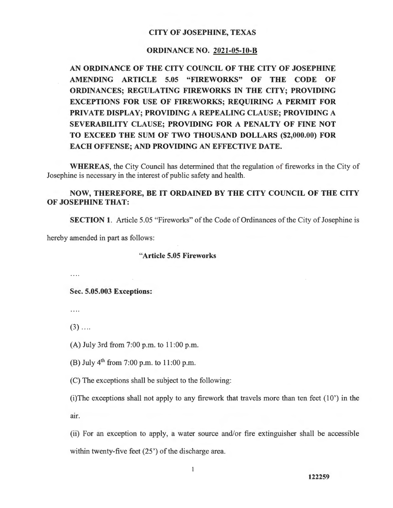## **CITY OF JOSEPHINE, TEXAS**

## **ORDINANCE NO. 2021-05-10-B**

**AN ORDINANCE OF THE CITY COUNCIL OF THE CITY OF JOSEPHINE AMENDING ARTICLE 5.05 "FIREWORKS" OF THE CODE OF ORDINANCES; REGULATING FIREWORKS IN THE CITY; PROVIDING EXCEPTIONS FOR USE OF FIREWORKS; REQUIRING A PERMIT FOR PRIVATE DISPLAY; PROVIDING A REPEALING CLAUSE; PROVIDING A SEVERABILITY CLAUSE; PROVIDING FOR A PENALTY OF FINE NOT TO EXCEED THE SUM OF TWO THOUSAND DOLLARS (\$2,000.00) FOR EACH OFFENSE; AND PROVIDING AN EFFECTIVE DATE.** 

**WHEREAS,** the City Council has determined that the regulation of fireworks in the City of Josephine is necessary in the interest of public safety and health.

# **NOW, THEREFORE, BE IT ORDAINED BY THE CITY COUNCIL OF THE CITY OF JOSEPHINE THAT:**

**SECTION 1.** Article 5.05 "Fireworks" of the Code of Ordinances of the City of Josephine is

hereby amended in part as follows:

#### **"Article 5.05 Fireworks**

 $\cdots$ 

**Sec. 5.05.003 Exceptions:** 

 $\cdots$ 

 $(3)$  ....

(A) July 3rd from 7:00 p.m. to 11 :00 p.m.

(B) July  $4^{th}$  from 7:00 p.m. to 11:00 p.m.

(C) The exceptions shall be subject to the following:

(i)The exceptions shall not apply to any firework that travels more than ten feet  $(10^{\circ})$  in the air.

(ii) For an exception to apply, a water source and/or fire extinguisher shall be accessible within twenty-five feet  $(25')$  of the discharge area.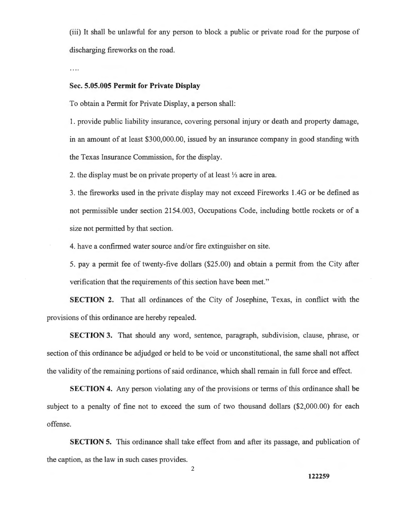(iii) It shall be unlawful for any person to block a public or private road for the purpose of discharging fireworks on the road.

. . . .

# **Sec. 5.05.005 Permit for Private Display**

To obtain a Permit for Private Display, a person shall:

1. provide public liability insurance, covering personal injury or death and property damage, in an amount of at least \$300,000.00, issued by an insurance company in good standing with the Texas Insurance Commission, for the display.

2. the display must be on private property of at least ½ acre in area.

3. the fireworks used in the private display may not exceed Fireworks 1 .4G or be defined as not permissible under section 2154.003, Occupations Code, including bottle rockets or of a size not permitted by that section.

4. have a confirmed water source and/or fire extinguisher on site.

5. pay a permit fee of twenty-five dollars (\$25.00) and obtain a permit from the City after verification that the requirements of this section have been met."

**SECTION 2.** That all ordinances of the City of Josephine, Texas, in conflict with the provisions of this ordinance are hereby repealed.

**SECTION 3.** That should any word, sentence, paragraph, subdivision, clause, phrase, or section of this ordinance be adjudged or held to be void or unconstitutional, the same shall not affect the validity of the remaining portions of said ordinance, which shall remain in full force and effect.

**SECTION 4.** Any person violating any of the provisions or terms of this ordinance shall be subject to a penalty of fine not to exceed the sum of two thousand dollars (\$2,000.00) for each offense.

**SECTION 5.** This ordinance shall take effect from and after its passage, and publication of the caption, as the law in such cases provides.